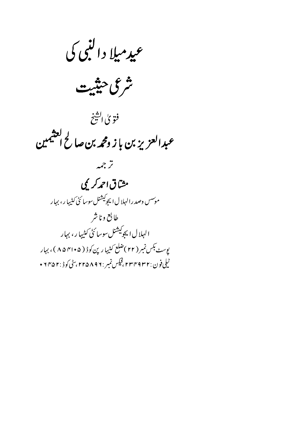عيدميلا دالنبي كي

شرعى حنثيت

فتوي الشيخ عبدالعزيز بن باز ومحمه بن صالح العثيمين

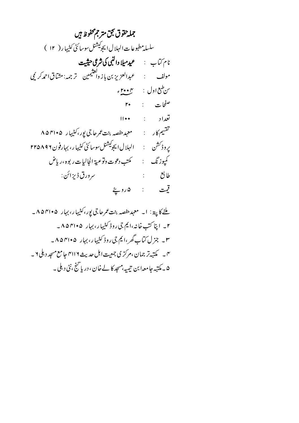جمله حقوق نجق متر جمحفوظ ہیں سلسله مطبوعات الهلال ايجوكيشنل سوسائڻي کثيبار ( ١٢ )  $\mathsf{r}\bullet$  : فنحات تعداد ۱۱۰۰ تقسیم کار : معہد حفصہ بنت عمرحاجی یور، کٹیہا رے ۸۵۴۱۰۵ يروڈ<sup>سش</sup>ن : الہلال ايجو<sup>کيشن</sup>لسوسائڻ *کي*ڀهار، بہارفون ٢٢۵٨٩٢ كميوزنگ : مكتب دعوت وتوعية الجاليات ر بوه ، رياض  $\begin{array}{ccc} \vdots & \vdots & \vdots \end{array}$ سر ورق ڈیز ائن : قيت : ۵روپ<u>ځ</u>

ملنے کا پتہ: ا۔ معہد حفصہ بنت عمر جا جی پور، کثیہا ر، بہار ۴۱۰۵ ۸۵ – ۲\_ اینا کتب خانه،ایم جی روڈ کٹیہا ر، بہار ۴۱۰۵۴۱۰۵\_ ۳۔ جزل کتاۓ گھر،ایم جی روڈ کٹیہا ر، بہار ۴۱۰۵۴۱۰۵۔ ۴ \_ مکتبه تر جمان ،مرکز ی جمعیت اہل حدیث ۲۱۱۶ جا مع مسجد د ہلی ۲ ۔ ۵ ۔ مکتبہ جا معہا بن تیمیہ،مسجد کا لے خان ، دریا گنج ،نئی د ہلی ۔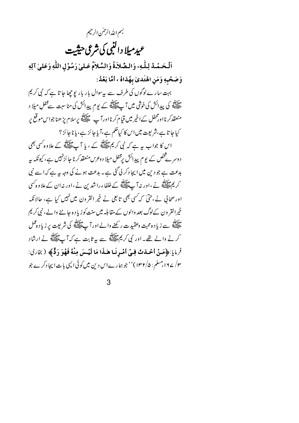بسم اللدالرحلن الرحيم عيدميلا دالنبي كي شرعي حيثيت اَلْحَمْدُ لِلَّهِ، وَالصَّلاَةُ وَالسَّلاَمُ عَلَىٰ رَسُوْلِ اللَّهِ وَعَلَىٰ آلِهِ وَصَحْبِهِ وَمَنِ اهْتَدىٰ بِهُدَاهُ ، أمَّا بَعْدُ:

بہت سارے لوگوں کی طرف سے پیسوال بار بار پوچھا جا تا ہے کہ نبی کریم ۔<br>علیمنے کی پیدائش کی خوشی میں آ پے ایک کے لیوم پیدائش کی منا سبت سے محفلِ میلا د منعقدکر نااورمحفل کےاخیر میں قیام کر نااورآپ علق<sup>یق</sup> پرسلام پڑ ھنا جواس موقع پر کیا جا تا ہے،شریعت میں اس کا کیا حکم ہے،آیا جا ئز ہے، یا نا جا ئز ؟ اس کا جواب پہ ہے کہ نبی کریم علاقلڈ کے ، یا آ ب علاقلڈ کے علاوہ کسی بھی د وسر بے پخص کے یو م پیدائش برمحفلِ میلا د وعرس منعقد کر نا جا ئزنہیں ہے، کیونکہ ہیر بدعت ہے جو دین میں ایجاد کر لی گئی ہے۔ بدعت ہونے کی وجہ یہ ہے کہ اسے نبی ۔<br>کریم ایسے نے ،اور نہ آ ۓ ایسے پر افغان پراشدین نے ،اور نہ ان کے علاوہ کسی اور صحافی نے،حتیٰ کہ کسی بھی تابعی نے خیر القرون میں نہیں کیا ہے، حالانکہ خیرالقر ون کےلوگ بعد والوں کے مقابلہ میں سنت کو زیا د ہ جاننے والے، نبی کریم ۔<br>علام سے زیادہ محبت وعقیدت رکھنے والے اور آ پ علام کی شریعت پر زیادہ عمل کرنے والے تھے۔اور نبی کریم علائقہ سے بیرثابت ہے کہ آپ علائقہ نے ارشاد فرمايا:﴿مَنْ أَحْدَثَ فِي أَمْيِرِنَيا هٰذَا مَا لَيْسَ مِنْهُ فَهُوَ دَدٌّ﴾ ( بِخارِي: ۳/ ۱۶۷، مسلم : ۱۳۲/۵) ' حجو ہمارےاس دین میں کوئی الیمی بات ایجا دکرے جو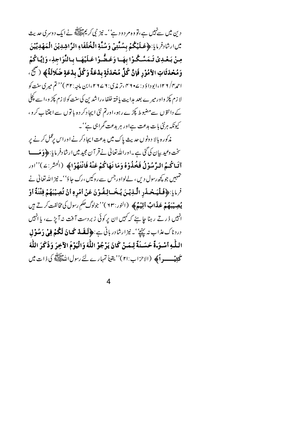دین میں سے نہیں ہے،تو وہ مر دود ہے' ۔ نیز نبی کریمﷺ نے ایک دوسر کی حدیث مين ارشادفر مايا:﴿ عَسَلَيْكُمْ بِسُنَّتِيْ وَسُنَّةِ الْمُحْلَفَاءِ الرَّاشِدِيْنَ الْمَهْدِيِّيْنَ مِنْ بَعْدِيْ تَـمَسَّـكُـوْا بِهَـا وَعَـقُّـوْا عَـلَيْهَـا بِـالنَّوَاجِذِ، وَإِيَّـاكُمْ وَمُحْدَثَاتِ الأمُوْرِ فَإِنَّ كُلَّ مُحْدَثَةٍ بِدْعَةً وَكُلَّ بِدْعَةٍ ضَلالَةً﴾ (صَحَّى الصَّحَ احمد ۱۳۶/ ۱۲۶، ابودا دَ د : ۲۷۵، تر مذی: ۲۷۷۶، ابن ماجه: ۴۲) '' تم میری سنت کو لا زم پکڑ واور میر ے بعد مدایت یافتہ خلفاءراشدین کی سنت کولا زم پکڑ و،ا سے کچلی کے دانتوں سےمضبوط پکڑے رہو،اورتم نئی ایجاد کر دہ باتوں سے اجتناب کرو ، کیونکہ ہرنٹی بات بدعت ہےاور ہر بدعت گمراہی ہے''۔

مذکور ہ بالا دونوں حدیث پاک میں بدعت ایجاد کرنے اوراس پرعمل کرنے پر سخت وعید بیان کی گئی ہے ۔اوراللہ تعالیٰ نے قر آن مجید میں ارشادفر مایا: ﴿ وَ مَـــا آتَيَاتُجُمُ البرَّسُوْلُ فَخُذُوْهُ وَمَا نَهَاكُمْ عَنْهُ فَانْتَهُوْا﴾ (الحشر:٤)''اور حمہیں جو کچھ رسول دیں، لےلواورجس سے روکیں ،رک جاؤ''۔ نیز اللہ تعالیٰ نے فرمايا:﴿فَلْيَحْدَدِ الَّذِيْنَ يُخَسَالِفُوْنَ عَنْ أَمْرِهِ أَنْ تُصِيْبَهُمْ فِتْنَةٌ أَوْ **يُصِيْبَهُمْ عَذَابٌ أَلِيْهُ﴾** (النور:٩٣)''جولوگ حكم رسول كي مخالفت كرتے ہيں انہیں ڈرتے رہنا جا ہئے کہ کہیں ان پر کوئی زبر دست آ فت نہ آ پڑے، یا انہیں دردناك عذاب نه پِنچُ'۔ نیزارشادر بانی ہے:﴿لَمِقَعْدْ كَمَانَ لَكُمْ فِيْ دَمِلُوْل اللَّـٰهِ أَسْـوَـةٌ حَسَـنَةٌ لِـمَـنْ كَانَ يَرْ جُوْ اللَّهَ وَالْيَوْمَ الآخِرَ وَذَكَرَ اللَّهَ تحفي \_\_ (الاحزاب:٢١)'' يقيناً تمهار بے لئے رسول اللہ اللہ اللہ عليه في ذات ميں

 $\overline{\mathcal{L}}$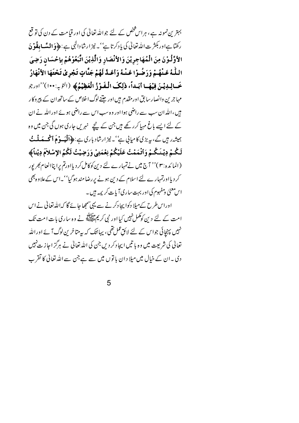بہترین نمونہ ہے ، ہراس شخص کے لئے جواللہ تعالٰی کی اور قیامت کے دن کی تو قع رکھتا ہےاور بکثر ت اللہ تعالیٰ کی یادکرتا ہے' '۔ نیز ارشادالٰہی ہے: ﴿ **وَالمَّسَابِقُوْنَ** الأوَّلُوْنَ مِنَ الْمُهَاجِرِيْنَ وَالأَنْصَارِ وَالَّذِيْنَ اتَّبَعُوْهُمْ بِإِحْسَانٍ رَضِيَ اللَّـهُ عَـنْهُـمْ وَرَضُـوْا عَـنْـهُ وَأَعَـدَّ لَهُمْ جَنَّاتٍ تَـجْرِيْ تَحْتَهَا الأنْهَارُ خَالِدِيْنَ فِيْهَا أَبَداً، ذٰلِكَ الْفَوْزُ الْعَظِيْمُ﴾ (التوبه:١٠٠)''اورجو مہاجرین وانصار سابق اور مقدم ہیں اور جتنے لوگ اخلاص کے ساتھ ان کے پیروکار ہیں،اللہ ان سب سے راضی ہوا اور وہ سب اس سے راضی ہوئے اور اللہ نے ان کے لئے ایسے باغ مہیا کرر کھے ہیں جن کے پنچے نہریں جاری ہوں گی جن میں وہ ہمیشہ رہیں گے، یہ بڑی کامیانی ہے''۔ نیز ارشاد باری ہے:﴿اَلْمَعَسوْمَ أَكْمَــمَعلَــتُ لَكُـمْ دِيْـنَـكُـمْ وَٱتْمَمْتُ عَلَيْكُمْ نِعْمَتِيْ وَرَضِيْتُ لَكُمُ الإِسْلاَمَ دِيْناً﴾ (المائدہ :۳)'' آج میں نےتمہارے لئے دین کوکامل کر دیااورتم پراپناانعام بھرپور کر دیااورتمہارے لئے اسلام کے دین ہونے پر رضامند ہوگیا''۔اس کے علاوہ بھی اس معنی و مفہوم کی اور بہت ساری آیات کر یمہ ہیں۔

اوراس طرح کےمیلا دکوا پجا دکرنے سے یہی سمجھا جائے گا کہ اللہ تعالیٰ نے اس امت کے لئے دین کوکمل نہیں کیااور نمی کر یمﷺ نے وہ ساری بات امت تک نہیں پہنچائی جواس کے لئے لائق عمل تھی ، یہان<del>ی</del>ک کہ یہ متاخر <sup>بن لو</sup>گ آ ئے اوراللہ تعالیٰ کی شریعت میں وہ یا تیں ایجاد کر دیں جن کی اللہ تعالیٰ نے ہرگز اجاز ت نہیں دی ۔ان کے خیال میں میلا دان باتوں میں سے ہے جن سے اللہ تعالیٰ کا تقرب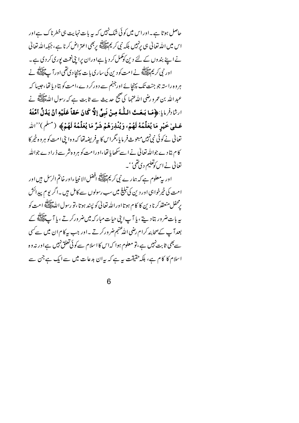حاصل ہوتا ہے۔اوراس میں کوئی شک نہیں کہ بیہ بات نہایت ہی خطرناک ہےاور اس میں اللہ تعالیٰ ہی پرنہیں بلکہ نبی کریمﷺ پربھی اعتراض کرنا ہے،جبکہ اللہ تعالیٰ نے اپنے بندوں کے لئے دین کوکمل کر دیا ہےاوران پرا بنی نعمت پوری کر دی ہے۔ اور نبی کریم علائقہ نے امت کو دین کی ساری بات پہنچا دی تھی اور آ پ ایک ہے۔<br>اور نبی کریم ایک ہے ہروہ راستہ جو جنت تک پہنچائے اورجہنم سے دورکر دے،امت کو بتا دیا تھا،حبیبا کہ عبد الله بن عمر و رضي الله عنها كي ضج حديث سے ثابت ہے كہ رسول اللهﷺ نے ارِثَادِفْرِ مِايا:﴿مَا بَبِعَتَ اللَّهُ مِنْ نَبِيٍّ إِلَّا كَانَ حَقّاً عَلَيْهِ أَنْ يَدُلَّ أُمَّتَهُ عَـلىٰ خَيْرٍ مَا يُعَلِّمُهُ لَهُمْ، وَيُنْذِرَهُمْ شَرَّ مَا يُعَلِّمُهُ لَهُمْ﴾ (مثلم)''الله تعالى نے كوئى نبى نہيں مبعوث فرمايا ،تكراس كا بيرفر يضه تھا كہ وہ اپنى امت كو ہر وہ خير كا کام بتادے جواللہ تعالٰی نے اسے سکھا یا تھا،اورامت کو ہروہ شرسے ڈ رادے جواللہ تعالیٰ نے اس کوتعلیم دی تھی'' ۔

اور بہ معلوم ہے کہ ہمارے نبی کریمﷺ افضل الانبیاءاور خاتم الرسل ہیں اور امت کی خپرخواہی اور دین کی تبلیغ میں سب رسولوں سے کامل ہیں۔اگر یوم پیدائش ر<br>بر محفل منعقد کرنا دین کا کام ہوتا اور اللہ تعالیٰ کو پسند ہوتا ،تو رسول اللہﷺ امت کو یہ بات ضرور بتاد ہتے ، پا آ پ اپنی حیات مبار کہ میں ضرور کرتے ، پا آ پ ایسلج کے بعدآ پ کےصحابئہ کرام رضی اللہ عنہم ضر ورکرتے ۔اور جب بیرکا م ان میں سے کسی سے بھی ثابت نہیں ہے ،تو معلوم ہوا کہ اس کا اسلام سے کوئی تعلق نہیں ہےاور نہ وہ اسلام کا کام ہے، ہلکہ حقیقت ہہ ہے کہ بہران بدعات میں سے ایک ہے جن سے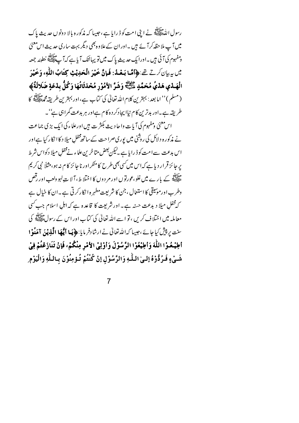رسول الله السيِّ في الشَّابِع.<br>رسول الله السيَّ الله عليه الله عنه الله عنه الله عنه عنه الله عنه من الله عنه الله عنه الله عنه الله عنه الله میں آپ ملا حظہ کر آئے ہیں ۔اور ان کے علاوہ بھی دیگر بہت ساری حدیث اس معنی ومفہوم کی آئی ہیں ۔اورا یک حدیث پاک میں تو یہائنک آیا ہے کہ آ پے پیچلنگ خطبئہ جمعہ مِيْنِ بِهِ بِإِنْ كَرِيقٍ تِحْ : ﴿ أَمَّا بَعْدُ: فَإِنَّ خَيْرَ الْحَدِيْثِ كِتَابُ اللَّهِ، وَخَيْرَ الْهَـدْي هَدْيُ مُحَمَّدٍ ءَلِيْلِهِ وَشَرَّ الأمُوْرِ مُحْدَثَاتُهَا وَكُلُّ بِدْعَةِ ضَلالَةٌ﴾ (مسلم ) '' اما بعد : بہترین کلام اللّٰہ تعالٰی کی کتاب ہے، اور بہترین طریقہ محمَّطاتِی کا طریقہ ہے۔اور بدترین کام نباا بیجادکر دہ کام ہےاور ہر بدعت گمراہی ہے''۔ اس معنیٰ ومفہوم کی آیات واحا دیث بکثر ت ہیں اورعلاء کی ایک بڑی جماعت نے مذکورہ د لائل کی روشنی میں پوری صراحت کے ساتھ مخفل میلا د کا انکار کیا ہےاور اس بدعت سےامت کو ڈ رایا ہے ۔لیکن بعض متاخرین علماء نےمحفل میلا دکواس شرط بر جائز قراردپا ہے کہاس میں سی بھی طرح کامنکراور نا جائز کام نہ ہو،مثلاً نبی کریم ۔<br>علیہ کے بارے میں غلو ،عورتوں اور مر دوں کا اختلاط ،آلا ت لہو دلعب اور رقص وطرب اورمونیقی کا استعال ، جن کا شریعت مطہر ہ ا نکارکر تی ہے۔ان کا خیال ہے کہ مخفل میلا دیدعت حسنہ ہے۔اور شریعت کا قاعدہ ہے کہ اہلِ اسلام جب کسی معاملہ میں اختلاف کریں ، تو اسے اللہ تعالیٰ کی کتاب اور اس کے رسولﷺ کی سنت پر پیش کیا جائے ،جیسا کہاللہ تعالٰی نے ارشادفر مایا: ﴿ پَیا اَیُّعَا الَّذِینَ آمَنُوْا أطِيْعُوْا اللَّهَ وَأطِيْعُوْا الرَّسُوْلَ وَأوْلِيْ الأَمْرِ مِنْكُمْ، فَإِنْ تَنَازَعْتُمْ فِيْ شَيْءٍ فَيرُدُّوْهُ إِلَيٰ اللَّٰهِ وَالرَّسُوْلِ إِنْ كُنْتُمْ تُؤمِنُوْنَ بِاللَّهِ وَالْيَوْمِ

 $\overline{7}$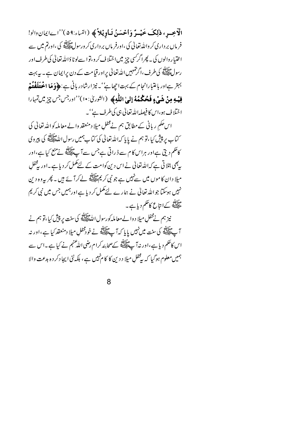الْآخِسِ ، ذٰلِكَ خَيْسَرٌ وَأَحْسَنُ تَبَاوِيْلاً ﴾ (النباء:٥٩)''اےايمان دالو! فر ماں بر داری کر واللہ تعالیٰ کی ،اورفر ماں بر داری کرورسولﷺ کی ،اورتم میں سے اختیار دالوں کی۔ پھراگرکسی چیز میں اختلاف کر دیتوا سےلوٹا دَاللّٰہ تعالٰی کی طرف اور رسول اقلاق کی طرف، اگر تہہیں اللہ تعالٰی پر اور قیامت کے دن پرایمان ہے۔ بی*ہ بہ*ت بہتر ہےاور باعتبارانجام کے بہت اچھاپٗ'۔ نیز ارشادر بانی ہے:﴿وَمَا الْمُعْلَفَةُمْ فيْهِ مِنْ بِشَيْءٍ فَعُكْمُهُ إِلَىٰ اللَّهِ﴾ (الثوريٰ: ١٠)''اورجس جس چزمين تِهارا اختلاف ہو،اس کا فیصلہاللہ تعالیٰ ہی کی طرف ہے' ۔

اس حکم ریانی کے مطابق ہم نےمحفلِ میلا دمنعقد والے معاملہ کواللہ تعالیٰ کی کتاب پر پیش کیا،تو ہم نے پایا کہ اللہ تعالٰی کی کتاب ہمیں رسول اللہﷺ کی پیروی کاحکم دیتی ہےاور ہراس کا م سے ڈ راتی ہے جس سے آ چلاتی نے منع کیا ہے،اور ر بھی ہتلا تی ہے کہ <sub>ا</sub>للہ تعالیٰ نے اس دین کوامت کے لئے مکمل کر دیا ہے ۔اور یہ محفل میلا دان کا موں میں سےنہیں ہے جو نبی کریم ایقلیج کے کر آ ئے ہیں ۔ پھر یہ وہ دین نہیں ہوسکتا جواللہ تعالیٰ نے ہمارے لئے مکمل کردیا ہےاورہمیں جس میں نبی کریم مثالاته<br>علیصلهٔ کےانتاع کاحکم دیا ہے۔

نیز ہم نے محفل میلا د والے معاملہ کورسول اللّٰہﷺ کی سنت پر پپش کیا،تو ہم نے آ پے اپنے کی سنت میں نہیں یا پا کہ آ پے اپنے لئے خودمحفلِ میلا دمنعقد کیا ہے ،اور نہ اس کاحکم دیا ہے،اور نہ آپ ایسا ایس کے صحابئہ کرام رضی اللّٰہ عنہم نے کیا ہے ۔اس سے ہمیں معلوم ہوگیا کہ بیٹھل میلا د دین کا کا م'ہیں ہے ، بلکہ نئی ایجا دکر د ہ بدعت والا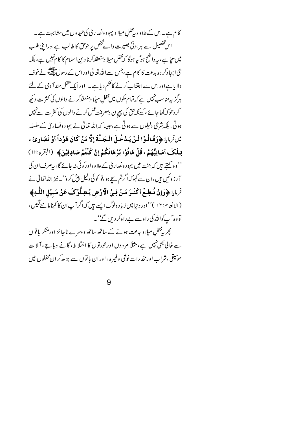کا م ہے۔اس کےعلاوہ بیچھل میلا دیہود ونصاریٰ کی عیدوں میں مشابہت ہے۔ اس تفصیل سے ہراد ٹی بصیرت والے څخص پر جوحق کا طالب ہےاورا پنی طلب میں سچا ہے، بیرواضح ہو گیا ہوگا کہ مخفلِ میلا دمنعقدکر نا دین اسلام کا کام نہیں ہے، بلکہ نئی ایجادکر دہ بدعت کا کام ہے،جس سےاللہ تعالیٰ اوراس کے رسولﷺ نےخوف دلایا ہےاوراس سےاجتناب کرنے کاحکم دیا ہے۔ اورایک عقل مندآ دمی کے لئے ہرگز بیہ ناسب نہیں ہے کہ تمام ملکوں میں مخفلِ میلا دمنعقدکر نے والوں کی کثر ت دیکھ کر دھوکہ کھاجائے ، کیونکہ حق کی پیچان ومعرفت عمل کرنے والوں کی کثر ت سےنہیں ہوتی ، بلکہ شرعی دلیلوں سے ہوتی ہے،جیسا کہ اللہ تعالیٰ نے یہود ونصاریٰ کےسلسلہ سِّلِفِرِ مَايَا:﴿وَقَبَالُوْا لَيْنَ يَبِدْخُمِلَ الْجَيَّةَ إِلَّا مَنْ كَانَ هُوْ دَاً أَوْ نَصَار ي تِمِلْكَ أَمَانِيُّهُمْ ، قَلْ هَاتُوْا بُرْهَانَكُمْ إِنْ كُنْتُمْ صَادِقِيْنَ﴾ (التقره:ااا) '' وہ کہتے ہیں کہ جنت میں یہود ونصاریٰ کےعلاوہ اورکوئی نہ جائے گا ، بیصرف ان کی آرز وئیں ہیں،ان سے کہوکہ اگرتم سیچ ہو،تو کوئی دلیل پپش کرو''۔ نیز اللہ تعالیٰ نے فرمايا:﴿وَإِنْ تُبْطِعْ أَكْثَرَ مَنْ فِي الْأَرْضِ يُتِبِلُّوْكَ عَنْ سَبِيْلِ اللَّهِ﴾ (الانعام: ١١٩)''اور د نیامیں زیاد ہ لوگ ایسے ہیں کہ اگر آپ ان کا کہنا ماننے لگیں ، تووہ آپ کوالٹد کی راہ سے بےراہ کر دیں گے'۔ پھر پڑ مخفل میلا دیدعت ہونے کے ساتھ ساتھ دوسرے ناجائز اور منکر پا توں

سے خالی بھی نہیں ہے، مثلاً مردوں اورعورتوں کا اختلاط، گانے وبا ہے، آلا ت موسیقی ، شراب اورمخدرات نوشی وغیر ه ،اوران یا توں سے بڑھ کران محفلوں میں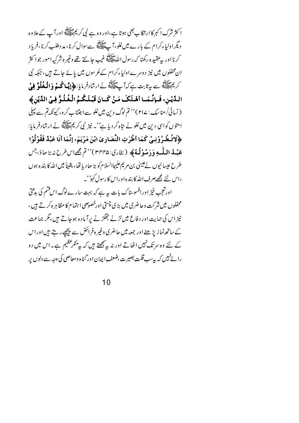ا کثر شرک ا کبر کا ارتکا بے بھی ہوتا ہے،اور وہ ہے نبی کر پم علاقاتھ اور آ ب کے علاوہ دیگراولباءکرام کے بارے میں غلو،آپ ﷺ سےسوال کرنا، مد دطلب کرنا ،فریاد كرنا اور يه عقيده ركضا كه رسول الله عليه علي حانت تتصح وغير ه شركيه امور جوا كثر ان محفلوں میں نیز دوسرےاولیاءکرام کےعُرسوں میں پائے جاتے ہیں، جبکہ نبی ۔<br>کریم ایسے سے بہ ثابت ہے کہ آپ ایسے گا ارشادفر مایا: **﴿إِيَّا كُسْمْ وَالْمُغُلُوَّ فِيْ** اللَّذِينِ، فَـإِنَّـمَــا أَهْـلَكَ مَـنْ كَــانَ قَبْـلَـكُـمُ الْـغُـلُـوُّ فِـيْ الدِّيْنِ﴾ ( نسائی/ مناسک : ۲۱۷ ) '' تم لوگ دین میںغلو سے اجتناب کرو، کیونکہ تم سے پہلی امتوں کواسی دین میں غلو نے متاہ کر دیا ہے' ۔ نیز نبی کریمﷺ نے ارشادفر مایا: ﴿لاتُـطْـرُوْنِـيْ كَمَا أَطْرَتِ النَّصَارِ ىٰ ابْنَ مَرْيَمَ، إِنَّمَا أَنَا عَبْدٌ فَقُوْلُوْا عَبْيةُ اللَّيْبِهِ وَدَمِينُوْلُيةُ ﴾ (بخارى: ٣٢٢٥)'' تم مجھےاس طرح نه بڑھاؤ،جس طرح عيسا ئيوں نے عيسىٰ بن مريم عليہاالسلام كو بڑ ھاديا تھا، يقيناً ميں الله كا بند ہ ہوں ،اس لئے مجھےصرف اللہ کا بندہ اوراس کا رسول کہو''۔

اورتعجب خیز اور افسوسناک بات بہ ہے کہ بہت سارے لوگ اس فتم کی بدعتی محفلوں میں شرکت وحاضر کی میں بڑی چستی اورخصوصی اہتمام کا مظاہرہ کرتے ہیں ، نیز اس کی حمایت اور دفاع میں لڑنے جھگڑنے پرآ مادہ ہوجاتے ہیں،مگر جماعت کے ساتھ نما زیڑھنے اور جمعہ میں حاضری وغیر ہفرائض سے پیچھے رہتے ہیں اوراس کے لئے وہ سرتک نہیں اٹھاتے اور نہ سے پیچھتے ہیں کہ سے منکر عظیم ہے۔اس میں دو را ئے نہیں کہ بہ سب قلت بصیرت ،ضعف ایمان اور گناہ ومعاصی کی وجہ سے دلوں پر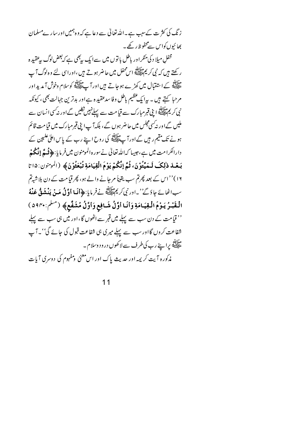زنگ کی کثر ت کےسبب ہے۔اللہ تعالیٰ سے دعا ہے کہ وہ ہمیں اور سارےمسلمان بھائیوں کواس سےمحفوظ رکھے۔

محفل میلا د کی منکراور پاطل یا توں میں سےایک پہنچی ہے کہ بعض لوگ پیرعقید ہ ر کھتے ہیں کہ نبی کریم ﷺ اس محفل میں حاضر ہو تے ہیں ،اوراسی لئے وہ لوگ آ پ ۔<br>علیہ کے استقبال میں کھڑے ہوجاتے ہیں اور آ پے پیسے کوسلام وخوش آ مدید اور مرحبا کہتے ہیں ۔ بیرایک عظیم باطل وفا سدعقید ہ ہے اور بدترین جہالت بھی، کیونکہ نی کر پر سالاتھ<br>نبی کر پی ایک اپنی قبر مبارک سے قیامت سے پہلے نہیں کلیں گےاور نہ کسی انسان سے ملیں گےاور نہ سی مجلس میں حاضر ہوں گے ، بلکہآ پ! پی قبرمبارک میں قیامت قائم ہونے تک مقیم ر ہیں گےاورآ پے پہلا ہے کی روح اپنے رب کے پاس اعلیٰ علیمین کے دارالکرامت میں ہے،حبیبا کہاللہ تعالیٰ نے سور ہ المومنون میں فر مایا:﴿**فُسَمَّ إِنَّكُمْ** بَعْدَ ذٰلِكَ لَـمَيِّتُوْنَ، ثُمَّ إنَّكُمْ يَوْمَ الْقِيَامَةِ تُبْعَثُوْنَ﴾ (المومنون: ١٥ تا ۱۶)''اس کے بعد پھرتم سب یقیناً مرجانے والے ہو، پھر قیامت کے دن بلاشیہم سبائھائے جاؤگے''۔اور نبی کریمﷺ نےفرمایا:﴿**أنَا أوَّلُ مَنْ يَنْشَقُّ عَنْهُ** الْقَبْدُ يَوْمَ الْقِيَامَةِ وَأَنَا أَوَّلُ شَافِعٍ وَأَوَّلُ مُشَفَّعٍ﴾ (منكم:896٠) '' قیامت کے دن سب سے پہلے میں قبر سے اٹھوں گا،اور میں ہی سب سے پہلے شفاعت کروں گااور سب سے پہلے میری ہی شفاعت قبول کی جائے گی''۔آپ ۔<br>علیمنے پراپنے رب کی طرف سے لاکھوں درود وسلام ۔ .<br>مذکوره آیت کریمه اور حدیث پاک اور اس<sup>معنی</sup> ومفہوم کی دوسری آیات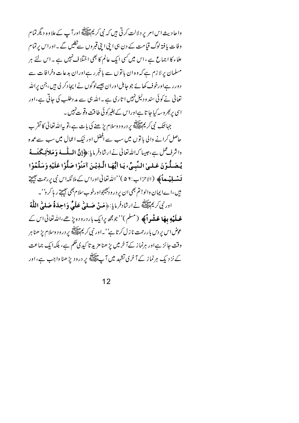واحا دیث اس امر پر دلالت کرتی ہیں کہ نبی کریمﷺ اورآ ب کےعلاوہ دیگر تمام وفات یا فتہ لوگ قیامت کے دن ہی <sub>ا</sub> بنی ا بنی قبروں سے نکلیں گے ۔اوراس پرتمام علماء کا اجماع ہے ، اس میں کسی ایک عالم کا بھی اختلاف نہیں ہے ۔ اس لئے ہر مسلمان پرلازم ہے کہ وہ ان باتوں سے باخبر رہےاوران بدعات وخرافات سے د ور رہےاورخوف کھائے جو جاہل اوران جیسےلوگوں نے ایجا دکر لی ہیں،جن پراللہ تعالٰی نے کوئی سند ودلیل نہیں ا تاری ہے ۔اللہ ہی سے مددطلب کی جاتی ہے،اور اسی پر <sub>گ</sub>مروسہ کیا جا تا ہےاوراس کے بغیرکوئی طاقت وقوت نہیں۔

جہانتک نبی کریم اللہ کے درود وسلام پڑھنے کی بات ہے،تو پیاللہ تعالٰی کا تقر ب حاصل کرانے والی یا توں میں سب سے افضل اور نیک اعمال میں سب سے عمدہ واشرف عمل ہے،حبیبا کہ اللہ تعالیٰ نے ارشادفر مایا:﴿إِنَّ الْمَسْلَسِهَ وَ مَلاَئِكَةَ سَـهُ يُـصَـلُّـوْنَ عَـلـىٰ الـنَّبـىِّ، يَـا أَيُّهَـا الَّـذِيْـنَ آمَنُوْا صَلُّوْا عَلَيْهِ وَسَلِّمُوْا ق**ىنساپ مائى** (الاحزاب:۵۶ )''اللەتعالٰى اوراس كے ملائكہ اس نبى پررحمت ب<u>ھىج</u>تى میں ،اےایمان والو! تم بھی ان پر درودجیجواورخوب سلام بھی بھیجتے ر ہا کر و' ٗ۔

اور نبى كريم عليليَّة نے ارشادفر مايا: ﴿ مَنْ صَبِلِي عَلَيَّ وَاحِدَةً صَلَّىٰ اللَّهُ عَبِلَيْهِ مِهَا عَشْدِاً ﴾ (مسلم)''جومجھ پرایک باردرود ہ پڑھے،اللہ تعالیٰ اس کے عوض اس پر دس با ررحمت نا ز ل کر تا ہے' '۔اور نبی کر یمﷺ پر درود وسلام پڑ ھنا ہر وقت جائز ہےاور ہرنما ز کےآ خرمیں پڑ ھنا مزید تا کیدی گھم ہے، بلکہ ایک جماعت کے نزد یک ہرنماز کے آ خری تشہد میں آ پ ﷺ پر درود بڑ ھنا واجب ہے، اور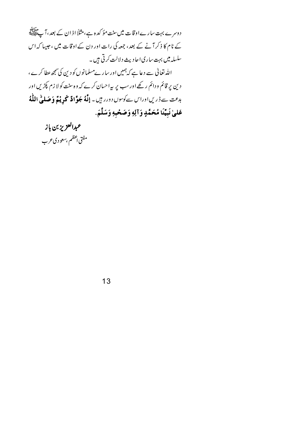دوسرے بہت سارےاوقات میںسنت مؤ کد ہ ہے،مثلاً اذ ان کے بعد ، آپ ایک ایک بہت کے نام کا ذکر آنے کے بعد، جمعہ کی رات اور دن کے اوقات میں ، جیپا کہ اس سلسله میں بہت ساری احادیث دلالت کرتی ہیں۔ اللہ تعالیٰ سے دعا ہے کہ ہمیں اور سارےمسلمانوں کو دین کی سمجھ عطا کرے ، دین پر قائم ودائم رکھےاورسب پر پیراحسان کرے کہ وہ سنت کو لا زم پکڑیں اور بدعت <sub>سے ڈ</sub>ریں اوراس سے کوسوں دورر ہیں۔ **إِنَّهُ جَوَّادٌ كَوِيْتُ<sub>ه</sub>ٖ وَصَل<sub>َّ</sub>ىٰ اللَّٰهُ** عَلىٰ نَبِيِّنَا مُحَمَّدٍ وَآلِهِ وَصَحْبِهِ وَسَلَّمَ.

عبدالعزيز بن باز مفتي اعظم بسعوديءرب

13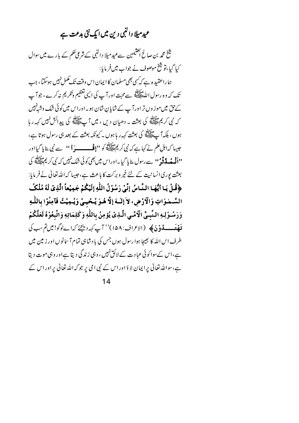## عیدمیلا دالنبی دین میں ایک نئی بدعت ہے<sub>۔</sub>

شیخ محم*د بن صالح اقتیمین سےعید میلا د*النبی *کے شر*عی حکم کے بارے میں سوال کیا گیا،تو ﷺ موصوف نے جواب میںفر مایا: ہما راعقید ہ ہے کہ کسی بھی مسلمان کا ایمان اس وقت تک مکمل نہیں ہوسکتا ، جب تک کہ وہ رسول اللہ ﷺ سے محبت اور آپ کی الیں تعظیم وتکریم نہ کرے ، جو آپ کے حق میں موز وں تر اور آ پ کے شایان شان ہو۔اوراس میں کوئی شک وشہنہیں که نبی کریم سالاته کی بعثت به دھیان دیں ، میں آپ ایک کا پیدائش نہیں کہہ ر ما ہوں ، ہلکہآ پﷺ کی بعثت کہہ ر ہا ہوں ۔ کیونکہ بعثت کے بعد ہی رسول ہوتا ہے، جیسا کہ اہل علم نے کہا ہے کہ نبی کریمﷺ کو "**اڤ \_\_\_\_\_ دَ أ** '' سے نبی بنایا گیااور ''**اَلْہ مُہ لَّہٌ وُّو''' سے رسول بنا ہا گیا۔اوراس میں بھی کوئی شک نہیں کہ نبی کر پہ ایسے گ**ی کی بعثت بوری انسانیت کے لئے خیر وبرکت کا باعث ہے،حبیبا کہ اللہ تعالیٰ نے فرمایا: ﴿قُلْ يَا أَيُّهَا النَّاسُ إِنِّي رَسُوْلُ اللَّهِ إِلَيْكُمْ جَمِيْعاً الَّذِيْ لَهُ مُلْكُ السَّـمْـوَاتِ وَالْأَرْضِ، لاَ إِلَٰـهَ إِلَّا هُـوَ يُـحْيـيْ وَيُـمِيْتُ فَآمِنُوْا بِاللَّـهِ وَرَسُوْلِهِ النَّبِيِّ الْاَمِّي الَّذِيْ يُؤْمِنُ بِاللَّهِ وَكَلِمَاتِهِ وَاتَّبِعُوْهُ لَعَلَّكُمْ قَعْعَــــــدُوْنَ ﴾ (الاعراف: ١۵٨)'' آپ کہہ دیجےَ کہائےلوگو! میںتم سب کی طرف اس الله کا بھیجا ہوا رسول ہوں جس کی با دشاہی تمام آ سانوں اور زمین میں ہے،اس کےسوا کوئی عباد ت کے لائق نہیں ، وہی زندگی دیتا ہےاور وہی موت دیتا ہے،سواللہ تعالیٰ پرایمان لاؤاوراس کے نبی امی پر جو کہ اللہ تعالیٰ پراوراس کے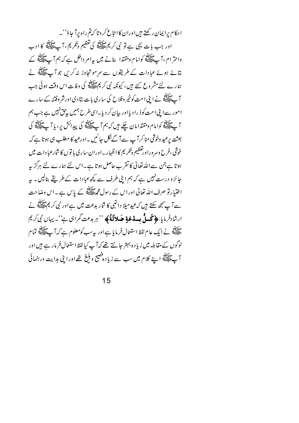احکام پرایمان رکھتے ہیںاوران کاانتاع کروتا کہتم راہ پرآ جاؤ''۔ اور جب بات یہی ہے تو نبی کریم میں تو گھریم وتکریم ، آپ ایک اوب واحترام ،آ پﷺ كوامام ومقتدا بنانے ميں بيرامر داخل ہے كہ ہم آ پ اللہ كے بتائے ہوئے عبادات کے طریقوں سے سرموتجاوز نہ کریں جو آپ ﷺ نے ہمارے لئےمشروع کئے ہیں، کیونکہ نبی کریمﷺ کی وفات اس وقت ہوئی جب آ پے آتا ہے۔<br>آ پے آپسے نے اپنی امت کو خیر وفلاح کی ساری بات بتا دی اورشر وفتنہ کے سارے امور سےای امت کوڈ را دیااور بیان کر دیا۔اسی طرح ہمیں پی<sup>جی نہ</sup>یں ہے جب ہم آ پے اپنے کوامام ومقتدامان چکے ہیں کہ ہم آ پے اپنے کی پیدائش پر ، یا آ پے اپنے کی بعثت پرعید وخوشی منا کر آ پ سے آ گےنکل جا ئیں ۔اورعید کا مطلب ہی ہوتا ہے کہ خوشی ،فرح وسر وراورتعظیم وتکریم کااظہار به اوران ساری با توں کا شارعبادات میں ہوتا ہے جن سے اللہ تعالیٰ کا تقرب حاصل ہوتا ہے ۔اس لئے ہمارے لئے ہرگز پہ جائز و درست نہیں ہے کہ ہم اپنی طرف سے کچھ عبادات کے طریقے بنالیں۔ بیر اختیار تو صرف اللہ تعالیٰ اور اس کے رسول محمد اللہ کے پاس ہے ۔اس وضاحت <sub>ے</sub> آپ سمجھ سکتے ہیں کہ عید میلا دالنبی کا شار بدعت میں ہے اور نبی کر <sup>یم ع</sup>لاللہ نے ارشادفر مایا: ﴿ مُحَسلُ بِسِدْعَةٍ صَلالَهُ ﴾ ''ہر بدعت گمراہی ہے''۔ یہاں نبی کریم مقابِقة<br>علَيْضَةً نے ایک عام لفظ استعمال فر مایا ہے اور پیرسب کومعلوم ہے کہ آپ علیٰ پیشی تما م لوگوں کے مقابلہ میں زیاد ہ بہتر جانتے تھے کہ آپ کیالفظ استعال فرمار ہے ہیں اور ۔<br>آپ ایک ایک اپنے کلام میں سب سے زیادہ فصیح وبلنغ تھے اور اپنی ہدایت ورہنمائی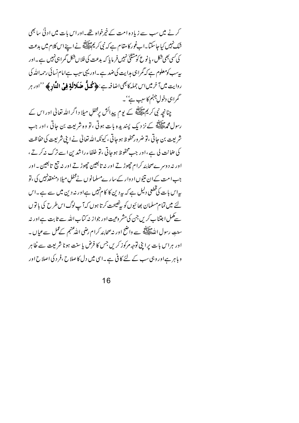کرنے میں سب سے زیادہ امت کے خپرخواہ تھے۔اور اس بات میں ادنیٰ سابھی شک نہیں کیا جاسکتا۔اب غور کا مقام ہے کہ نبی کریم پیچلائیں نے اپنے اس کلام میں بدعت کی کسی بھی شکل ، یا نوع کو مشثنیٰ نہیں فر مایا کہ بدعت کی فلا ں شکل گمرا ہی نہیں ہے۔اور پیسب کومعلوم ہے کہ گمراہی مدایت کی ضد ہے ۔اور یہی سبب ہےا مام نسائی رحمہ اللہ کی روايت ميں آخر ميں اس جملہ کا بھي اضافہ ہے : ﴿ مُحَلٌّ صَلَالَةٍ فِي اللَّادِ ﴾ ''اور ہر گمراہی دخول جہنم کا سبب ہے' ۔

چنانچہ نبی کریم علاقیہ کے یوم پیدائش پرمخفلِ میلا د اگر اللہ تعالٰی اور اس کے رسول محمط اللہ کے نز دیک پسندیدہ بات ہوتی ، تو وہ شریعت بن جاتی ، اور جب شریعت بن جاتی ،تو ضر ورمحفوظ ہوجاتی ، کیونکہ اللہ تعالیٰ نے اپنی شریعت کی حفاظت کی عنانت لی ہے،اور جب محفوظ ہوجاتی ،تو خلفاءراشد بن اسے ترک نہ کرتے ، اور نہ دوسر ےصحابئہ کرام جھوڑتے اور نہ تا بعین حچھوڑتے اور نہ تبع تالعین ۔اور جب امت کےان نتیوں ا د وار کےسار ےمسلمانوں نےمحفل میلا دمنعقدنہیں کی ،تو یہ اس بات کی قطعی دلیل ہے کہ بیردین کا کا منہیں ہےاور نہ دین میں سے ہے۔اس لئے میں تمام مسلمان بھائیوں کو پی<sup>فصیحت</sup> کرتا ہوں کہآ پ لوگ اس *طر*ح کی باتوں سے کمل اجتناب کریں جن کی مشر وعیت اور جواز نہ کتاب اللہ سے ثابت ہے اور نہ سنتِ رسولِ اللهُطِيعِيَّةِ سے واضح اور نہ صحابئہ کرام رضی الله عنهم کے عمل سے عم<u>ا</u>ل ۔ اور ہراس بات پرا بی توجہ مرکوز کریں جس کا فرض پا سنت ہونا شریعت سے ظاہر و ہا ہر ہےاور وہی سب کے لئے کا فی ہے ۔اسی میں دل کا صلاح ،فر د کی اصلاح اور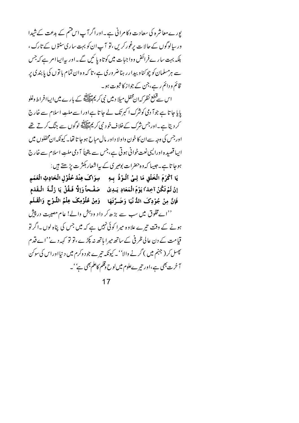پورے معاشرہ کی سعادت وکامرانی ہے۔اوراگرآپاس قسم کے بدعت کےشیدا ور سالوگوں کے حالا ت برغور کریں ،تو آپ ان کو بہت ساری سنتوں کے تارک ، بلکہ بہت سارےفرائض وواجبات میں کوتاہ پائیں گے۔اور پیرایباامر ہے کہ جس سے ہرمسلمان کو چوکناو بیدارر ہناضروری ہے، تا کہ وہ ان تمام با توں کی پابندی پر قائم و دائم رہے،جن کے جواز کا ثبوت ہو۔

اس سےقطع نظر کہان محفل میلا دییں نبی کر پم پیچلینج کے بار ے میں ایساافراط وغلو پایا جا تا ہے جوآ دمی کوشرک اکبرتک لے جا تا ہےاورا سے ملت اسلام سے خارج کر دیتا ہے۔اور جس شرک کےخلاف خود نبی کریم تلاتیق لوگوں سے جنگ کرتے تھے اورجس کی وجہ سےان کا خون واولا داور مال مباح ہوجا تا تھا۔ کیونکہ ان محفلوں میں اپیا قصیدہ اورالیپی نعت خوانی ہوتی ہے،جس سے یقیناً آ دمی ملتِ اسلام سے خارج

ہوجا تا ہے۔جیسا کہ وہ حضرات بوصر کی کے بیرا شعار بکثر ت پڑھتے ہیں : يَا أَكْرَمَ الْخَلْقِ مَا لِـيْ أَلْـوْذُ بِـهِ ۚ سِوَاكَ عِنْدَ حُلُوْلِ الْحَادِثِ الْعَمَمِ إِنْ لَمْ تَكُنْ آخِذاً يَوْمَ الْمَعَادِ يَلِدِيْ ۚ صَفْحاً وَإِلَّا فَلَقُلْ يَا زَلَّـةَ ۚ الْـقَدَم فَإِنَّ مِنْ جُوْدِكَ الدُّنْيَا وَضَـرَّتَهَا ۚ وَمِنْ عُلُوْمِكَ عِلْمُ اللَّـوْحِ وَالْقَـلَمِ ''اےمخلوق میں سب سے بڑھ کر داد ودہش والے! عام مصیبت در پیش ہونے کے وقت تیرے علاوہ میرا کوئی نہیں ہے کہ میں جس کی پناہ لوں ۔اگر تو قیامت کے دن عالی ظرفی کے ساتھ میرا ہاتھ نہ پکڑے ،تو تو کہہ دی''اے قدم پھسل کر ( جہنم میں ) گرنے والا'' ۔ کیونکہ تی<sub>ر</sub>ے جو د وکرم میں د نی<u>ا</u>اوراس کی سوکن آ خرت بھی ہے،اور تیر ےعلوم میں لوح وقلم کاعلم بھی ہے''۔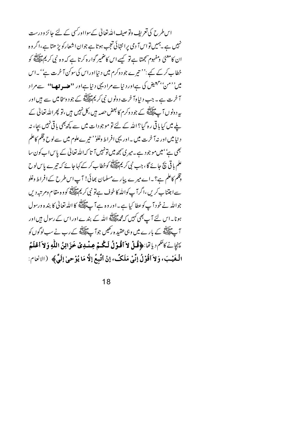اس طرح کی تعریف وتوصیف اللہ تعالیٰ کےسوااور کسی کے لئے جائز و درست نہیں ہے ۔ہمیں تو اس آ دمی پرانتہائی تعجب ہوتا ہے جوان اشعارکو پڑ ھتا ہے،اگر وہ ان کامعنیٰ ومفہوم شمجھتا ہے تو کسے اس کامنیمیر گوارہ کرتا ہے کہ وہ نمی کریم علاللہ کو خطاب کرکے کیے :'' تیرے جو د وکرم میں د نیااوراس کی سوکن آ خرت ہے''۔اس میں''من'، تبعیض کی ہےاور دیا سے مرادیہی دیا ہےاور **''حنسہ تھا''** سے مراد آخرت ہے ۔ جب د نیا وآخرت دونوں نبی کریمﷺ کے جود وسخامیں سے ہیں اور بہردونوں آ ے پیلائی کے جو د وکرم کا بعض حصہ ہیں ،کل نہیں ہیں ،تو پھراللہ تعالیٰ کے یلے میں کیا باقی رہ گیا؟ اللہ کے لئے تو موجودات میں سے کچھ بھی باقی نہیں بچا، نہ د نیا میں اور نہ آ خرت میں ۔اور یہی افراط وغلو' نیر ےعلوم میں سےلوح وقلم کاعلم بھی ہے'' میں موجود ہے۔میری سمجھ میں تونہیں آ تا کہ اللہ تعالیٰ کے پاس اب کون سا علم باقی بچ جائے گا ، جب نبی کریم علاقہ کوخطا ب کر کے کہا جائے کہ تیرے پاس لوح وقلم کاعلم ہے؟ ۔اے میرے پیارےمسلمان بھائی! آپ اس طرح کےافراط وغلو سے اجتناب کریں ،اگرآ پ کواللہ کا خوف ہےتو نبی کریم اللہ کا وہ مقام ومرتبہ دیں جوالله نے خود آپ کوعطا کیا ہے۔اور وہ ہے آپ ﷺ کا اللہ تعالیٰ کا بندہ ورسول ہونا۔اس لئے آپ بھی کہیں کہ مجمعلات اللہ کے بندےاوراس کے رسول ہیں اور ۔<br>آپ ایک ایک کے بارے میں وہی عقید ہ رکھیں جو آپ ایک کچھ کے رب نے سب لوگوں کو يَبْيَانِهُ كَاحَكُمْ دِياتِيًا: ﴿ فَعَلْ لاَ أَقُوْلُ لَيْكُمْ عِينْبِهِ فِي حَوْ ابْنُ اللَّهِ وَلاَ أَعْلَمُ الْغَيْبَ، وَلاَ أقُوْلُ إِنِّي مَلَكٌ، إِنْ أتَّبِعُ إِلَّا مَا يُوْحِيٰ إِلَيَّ﴾ (الالهام: